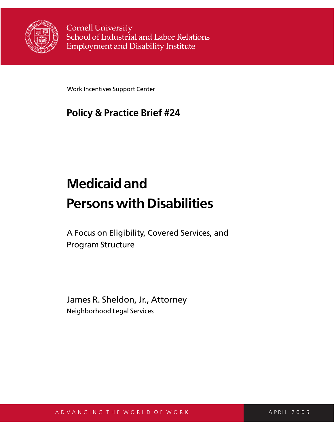

**Cornell University** School of Industrial and Labor Relations **Employment and Disability Institute** 

Work Incentives Support Center

# **Policy & Practice Brief #24**

# **Medicaid and Persons with Disabilities**

A Focus on Eligibility, Covered Services, and Program Structure

James R. Sheldon, Jr., Attorney Neighborhood Legal Services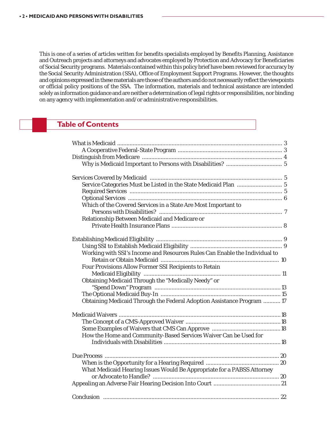This is one of a series of articles written for benefits specialists employed by Benefits Planning, Assistance and Outreach projects and attorneys and advocates employed by Protection and Advocacy for Beneficiaries of Social Security programs. Materials contained within this policy brief have been reviewed for accuracy by the Social Security Administration (SSA), Office of Employment Support Programs. However, the thoughts and opinions expressed in these materials are those of the authors and do not necessarily reflect the viewpoints or official policy positions of the SSA. The information, materials and technical assistance are intended solely as information guidance and are neither a determination of legal rights or responsibilities, nor binding on any agency with implementation and/or administrative responsibilities.

### **Table of Contents**

| Which of the Covered Services in a State Are Most Important to             |  |
|----------------------------------------------------------------------------|--|
|                                                                            |  |
| Relationship Between Medicaid and Medicare or                              |  |
|                                                                            |  |
|                                                                            |  |
|                                                                            |  |
|                                                                            |  |
| Working with SSI's Income and Resources Rules Can Enable the Individual to |  |
|                                                                            |  |
| Four Provisions Allow Former SSI Recipients to Retain                      |  |
|                                                                            |  |
| Obtaining Medicaid Through the "Medically Needy" or                        |  |
|                                                                            |  |
|                                                                            |  |
| Obtaining Medicaid Through the Federal Adoption Assistance Program  17     |  |
|                                                                            |  |
|                                                                            |  |
|                                                                            |  |
|                                                                            |  |
| How the Home and Community-Based Services Waiver Can be Used for           |  |
|                                                                            |  |
|                                                                            |  |
|                                                                            |  |
|                                                                            |  |
| What Medicaid Hearing Issues Would Be Appropriate for a PABSS Attorney     |  |
|                                                                            |  |
|                                                                            |  |
|                                                                            |  |
| Conclusion                                                                 |  |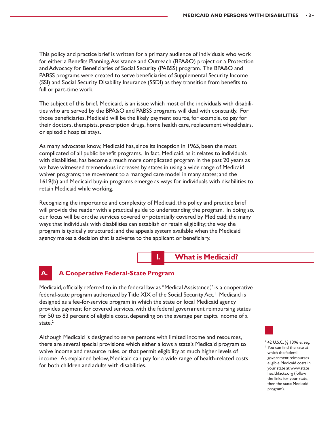This policy and practice brief is written for a primary audience of individuals who work for either a Benefits Planning, Assistance and Outreach (BPA&O) project or a Protection and Advocacy for Beneficiaries of Social Security (PABSS) program. The BPA&O and PABSS programs were created to serve beneficiaries of Supplemental Security Income (SSI) and Social Security Disability Insurance (SSDI) as they transition from benefits to full or part-time work.

The subject of this brief, Medicaid, is an issue which most of the individuals with disabilities who are served by the BPA&O and PABSS programs will deal with constantly. For those beneficiaries, Medicaid will be the likely payment source, for example, to pay for their doctors, therapists, prescription drugs, home health care, replacement wheelchairs, or episodic hospital stays.

As many advocates know, Medicaid has, since its inception in 1965, been the most complicated of all public benefit programs. In fact, Medicaid, as it relates to individuals with disabilities, has become a much more complicated program in the past 20 years as we have witnessed tremendous increases by states in using a wide range of Medicaid waiver programs; the movement to a managed care model in many states; and the 1619(b) and Medicaid buy-in programs emerge as ways for individuals with disabilities to retain Medicaid while working.

Recognizing the importance and complexity of Medicaid, this policy and practice brief will provide the reader with a practical guide to understanding the program. In doing so, our focus will be on: the services covered or potentially covered by Medicaid; the many ways that individuals with disabilities can establish or retain eligibility; the way the program is typically structured; and the appeals system available when the Medicaid agency makes a decision that is adverse to the applicant or beneficiary.

 **I. What is Medicaid?**

# **A. A Cooperative Federal-State Program**

Medicaid, officially referred to in the federal law as "Medical Assistance," is a cooperative federal-state program authorized by Title XIX of the Social Security Act.<sup>1</sup> Medicaid is designed as a fee-for-service program in which the state or local Medicaid agency provides payment for covered services, with the federal government reimbursing states for 50 to 83 percent of eligible costs, depending on the average per capita income of a state.<sup>2</sup>

Although Medicaid is designed to serve persons with limited income and resources, there are several special provisions which either allows a state's Medicaid program to waive income and resource rules, or that permit eligibility at much higher levels of income. As explained below, Medicaid can pay for a wide range of health-related costs for both children and adults with disabilities.

<sup>1</sup> 42 U.S.C. §§ 1396 *et seq.* 2 You can find the rate at which the federal government reimburses eligible Medicaid costs in your state at www.state healthfacts.org (follow the links for your state, then the state Medicaid program).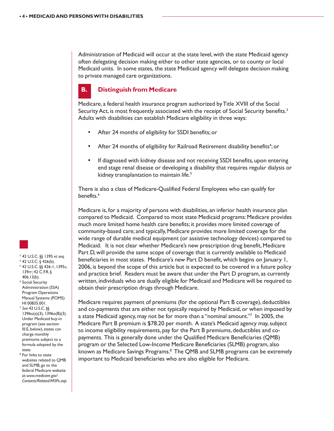Administration of Medicaid will occur at the state level, with the state Medicaid agency often delegating decision making either to other state agencies, or to county or local Medicaid units. In some states, the state Medicaid agency will delegate decision making to private managed care organizations.

#### **B. Distinguish from Medicare**

Medicare, a federal health insurance program authorized by Title XVIII of the Social Security Act, is most frequently associated with the receipt of Social Security benefits.<sup>3</sup> Adults with disabilities can establish Medicare eligibility in three ways:

- After 24 months of eligibility for SSDI benefits; or
- After 24 months of eligibility for Railroad Retirement disability benefits<sup>4</sup>; or
- If diagnosed with kidney disease and not receiving SSDI benefits, upon entering end stage renal disease or developing a disability that requires regular dialysis or kidney transplantation to maintain life.<sup>5</sup>

There is also a class of Medicare-Qualified Federal Employees who can qualify for benefits.<sup>6</sup>

Medicare is, for a majority of persons with disabilities, an inferior health insurance plan compared to Medicaid. Compared to most state Medicaid programs: Medicare provides much more limited home health care benefits; it provides more limited coverage of community-based care; and typically, Medicare provides more limited coverage for the wide range of durable medical equipment (or assistive technology devices) compared to Medicaid. It is not clear whether Medicare's new prescription drug benefit, Medicare Part D, will provide the same scope of coverage that is currently available to Medicaid beneficiaries in most states. Medicare's new Part D benefit, which begins on January 1, 2006, is beyond the scope of this article but is expected to be covered in a future policy and practice brief. Readers must be aware that under the Part D program, as currently written, individuals who are dually eligible for Medicaid and Medicare will be required to obtain their prescription drugs through Medicare.

Medicare requires payment of premiums (for the optional Part B coverage), deductibles and co-payments that are either not typically required by Medicaid, or when imposed by a state Medicaid agency, may not be for more than a "nominal amount."7 In 2005, the Medicare Part B premium is \$78.20 per month. A state's Medicaid agency may, subject to income eligibility requirements, pay for the Part B premiums, deductibles and copayments. This is generally done under the Qualified Medicare Beneficiaries (QMB) program or the Selected Low-Income Medicare Beneficiaries (SLMB) program, also known as Medicare Savings Programs.<sup>8</sup> The QMB and SLMB programs can be extremely important to Medicaid beneficiaries who are also eligible for Medicare.



- 3 42 U.S.C. §§ 1395 *et seq.*
- $4$  42 U.S.C. § 426(b). 5 42 U.S.C. §§ 426-1, 1395c,
- 139rr; 42 C.F.R. § 406.13(b). 6 Social Security Administration (SSA)
- Program Operations Manual Systems (POMS) HI 00835.001. <sup>7</sup> *See* 42 U.S.C. §§
- 1396o(a)(3), 1396o(B)(3). Under Medicaid buy-in program (see section III.E, below), states can charge monthly premiums subject to a formula adopted by the state.
- 8 For links to state websites related to QMB and SLMB, go to the federal Medicare website at: *www.medicare.gov/ Contacts/Related/MSPs.asp*.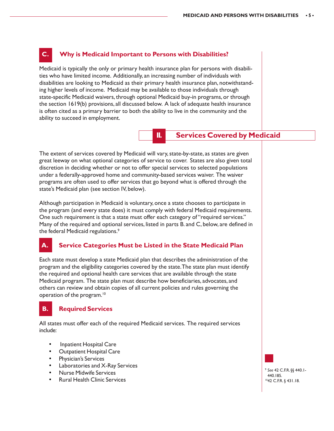# **C. Why is Medicaid Important to Persons with Disabilities?**

Medicaid is typically the only or primary health insurance plan for persons with disabilities who have limited income. Additionally, an increasing number of individuals with disabilities are looking to Medicaid as their primary health insurance plan, notwithstanding higher levels of income. Medicaid may be available to those individuals through state-specific Medicaid waivers, through optional Medicaid buy-in programs, or through the section 1619(b) provisions, all discussed below. A lack of adequate health insurance is often cited as a primary barrier to both the ability to live in the community and the ability to succeed in employment.

#### **II. Services Covered by Medicaid**

The extent of services covered by Medicaid will vary, state-by-state, as states are given great leeway on what optional categories of service to cover. States are also given total discretion in deciding whether or not to offer special services to selected populations under a federally-approved home and community-based services waiver. The waiver programs are often used to offer services that go beyond what is offered through the state's Medicaid plan (see section IV, below).

Although participation in Medicaid is voluntary, once a state chooses to participate in the program (and every state does) it must comply with federal Medicaid requirements. One such requirement is that a state must offer each category of "required services." Many of the required and optional services, listed in parts B. and C, below, are defined in the federal Medicaid regulations.9

# **A. Service Categories Must be Listed in the State Medicaid Plan**

Each state must develop a state Medicaid plan that describes the administration of the program and the eligibility categories covered by the state. The state plan must identify the required and optional health care services that are available through the state Medicaid program. The state plan must describe how beneficiaries, advocates, and others can review and obtain copies of all current policies and rules governing the operation of the program.10

# **B. Required Services**

All states must offer each of the required Medicaid services. The required services include:

- Inpatient Hospital Care
- Outpatient Hospital Care
- Physician's Services
- Laboratories and X-Ray Services
- Nurse Midwife Services
- Rural Health Clinic Services

<sup>9</sup> *See* 42 C.F.R. §§ 440.1- 440.185. 1042 C.F.R. § 431.18.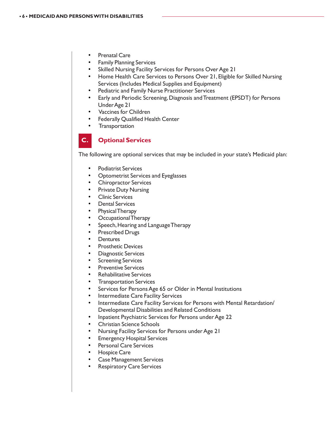- **Prenatal Care**
- **Family Planning Services**
- Skilled Nursing Facility Services for Persons Over Age 21
- Home Health Care Services to Persons Over 21, Eligible for Skilled Nursing Services (Includes Medical Supplies and Equipment)
- Pediatric and Family Nurse Practitioner Services
- Early and Periodic Screening, Diagnosis and Treatment (EPSDT) for Persons Under Age 21
- Vaccines for Children
- **Federally Qualified Health Center**
- **Transportation**

# **C. Optional Services**

The following are optional services that may be included in your state's Medicaid plan:

- Podiatrist Services
- Optometrist Services and Eyeglasses
- Chiropractor Services
- Private Duty Nursing
- Clinic Services
- Dental Services
- Physical Therapy
- Occupational Therapy
- Speech, Hearing and Language Therapy
- Prescribed Drugs
- **Dentures**
- Prosthetic Devices
- Diagnostic Services
- **Screening Services**
- **Preventive Services**
- Rehabilitative Services
- **Transportation Services**
- Services for Persons Age 65 or Older in Mental Institutions
- Intermediate Care Facility Services
- Intermediate Care Facility Services for Persons with Mental Retardation/ Developmental Disabilities and Related Conditions
- Inpatient Psychiatric Services for Persons under Age 22
- Christian Science Schools
- Nursing Facility Services for Persons under Age 21
- **Emergency Hospital Services**
- Personal Care Services
- Hospice Care
- Case Management Services
- Respiratory Care Services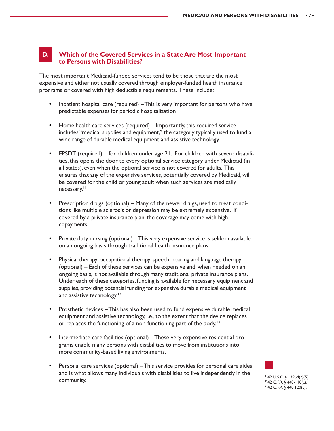#### **D. Which of the Covered Services in a State Are Most Important to Persons with Disabilities?**

The most important Medicaid-funded services tend to be those that are the most expensive and either not usually covered through employer-funded health insurance programs or covered with high deductible requirements. These include:

- Inpatient hospital care (required) This is very important for persons who have predictable expenses for periodic hospitalization
- Home health care services (required) Importantly, this required service includes "medical supplies and equipment," the category typically used to fund a wide range of durable medical equipment and assistive technology.
- EPSDT (required) for children under age 21. For children with severe disabilities, this opens the door to every optional service category under Medicaid (in all states), even when the optional service is not covered for adults. This ensures that any of the expensive services, potentially covered by Medicaid, will be covered for the child or young adult when such services are medically necessary.<sup>11</sup>
- Prescription drugs (optional) Many of the newer drugs, used to treat conditions like multiple sclerosis or depression may be extremely expensive. If covered by a private insurance plan, the coverage may come with high copayments.
- Private duty nursing (optional) This very expensive service is seldom available on an ongoing basis through traditional health insurance plans.
- Physical therapy; occupational therapy; speech, hearing and language therapy (optional) – Each of these services can be expensive and, when needed on an ongoing basis, is not available through many traditional private insurance plans. Under each of these categories, funding is available for necessary equipment and supplies, providing potential funding for expensive durable medical equipment and assistive technology.<sup>12</sup>
- Prosthetic devices This has also been used to fund expensive durable medical equipment and assistive technology, i.e., to the extent that the device replaces or replaces the functioning of a non-functioning part of the body.<sup>13</sup>
- Intermediate care facilities (optional) These very expensive residential programs enable many persons with disabilities to move from institutions into more community-based living environments.
- Personal care services (optional) This service provides for personal care aides and is what allows many individuals with disabilities to live independently in the  $\frac{1142 \text{ U.S.C.} \frac{5}{9} \cdot 1396d(r)}{1242 \text{ C FR. } }$

1242 C.F.R. § 440-110(c). 1342 C.F.R. § 440.120(c).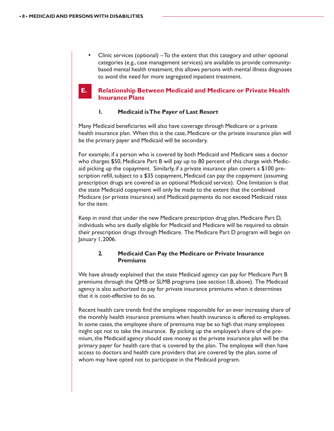• Clinic services (optional) – To the extent that this category and other optional categories (e.g., case management services) are available to provide communitybased mental health treatment, this allows persons with mental illness diagnoses to avoid the need for more segregated inpatient treatment.

#### **E. Relationship Between Medicaid and Medicare or Private Health Insurance Plans**

#### **1. Medicaid is The Payer of Last Resort**

Many Medicaid beneficiaries will also have coverage through Medicare or a private health insurance plan. When this is the case, Medicare or the private insurance plan will be the primary payer and Medicaid will be secondary.

For example, if a person who is covered by both Medicaid and Medicare sees a doctor who charges \$50, Medicare Part B will pay up to 80 percent of this charge with Medicaid picking up the copayment. Similarly, if a private insurance plan covers a \$100 prescription refill, subject to a \$35 copayment, Medicaid can pay the copayment (assuming prescription drugs are covered as an optional Medicaid service). One limitation is that the state Medicaid copayment will only be made to the extent that the combined Medicare (or private insurance) and Medicaid payments do not exceed Medicaid rates for the item.

Keep in mind that under the new Medicare prescription drug plan, Medicare Part D, individuals who are dually eligible for Medicaid and Medicare will be required to obtain their prescription drugs through Medicare. The Medicare Part D program will begin on January 1, 2006.

#### **2. Medicaid Can Pay the Medicare or Private Insurance Premiums**

We have already explained that the state Medicaid agency can pay for Medicare Part B premiums through the QMB or SLMB programs (see section I.B, above). The Medicaid agency is also authorized to pay for private insurance premiums when it determines that it is cost-effective to do so.

Recent health care trends find the employee responsible for an ever increasing share of the monthly health insurance premiums when health insurance is offered to employees. In some cases, the employee share of premiums may be so high that many employees might opt not to take the insurance. By picking up the employee's share of the premium, the Medicaid agency should save money as the private insurance plan will be the primary payer for health care that is covered by the plan. The employee will then have access to doctors and health care providers that are covered by the plan, some of whom may have opted not to participate in the Medicaid program.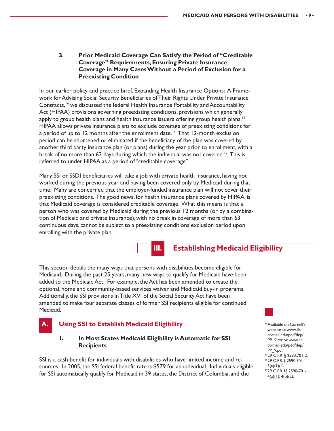**3. Prior Medicaid Coverage Can Satisfy the Period of "Creditable Coverage" Requirements, Ensuring Private Insurance Coverage in Many Cases Without a Period of Exclusion for a Preexisting Condition**

In our earlier policy and practice brief, Expanding Health Insurance Options: A Framework for Advising Social Security Beneficiaries of Their Rights Under Private Insurance Contracts,14 we discussed the federal Health Insurance Portability and Accountability Act (HIPAA) provisions governing preexisting conditions, provisions which generally apply to group health plans and health insurance issuers offering group health plans.<sup>15</sup> HIPAA allows private insurance plans to exclude coverage of preexisting conditions for a period of up to 12 months after the enrollment date.<sup>16</sup> That 12-month exclusion period can be shortened or eliminated if the beneficiary of the plan was covered by another third party insurance plan (or plans) during the year prior to enrollment, with a break of no more than 63 days during which the individual was not covered.<sup>17</sup> This is referred to under HIPAA as a period of "creditable coverage"

Many SSI or SSDI beneficiaries will take a job with private health insurance, having not worked during the previous year and having been covered only by Medicaid during that time. Many are concerned that the employer-funded insurance plan will not cover their preexisting conditions. The good news, for health insurance plans covered by HIPAA, is that Medicaid coverage is considered creditable coverage. What this means is that a person who was covered by Medicaid during the previous 12 months (or by a combination of Medicaid and private insurance), with no break in coverage of more than 63 continuous days, cannot be subject to a preexisting conditions exclusion period upon enrolling with the private plan.

### **III. Establishing Medicaid Eligibility**

This section details the many ways that persons with disabilities become eligible for Medicaid. During the past 25 years, many new ways to qualify for Medicaid have been added to the Medicaid Act. For example, the Act has been amended to create the optional, home and community-based services waiver and Medicaid buy-in programs. Additionally, the SSI provisions in Title XVI of the Social Security Act have been amended to make four separate classes of former SSI recipients eligible for continued Medicaid.

# **Using SSI to Establish Medicaid Eligibility**

#### **1. In Most States Medicaid Eligibility is Automatic for SSI Recipients**

SSI is a cash benefit for individuals with disabilities who have limited income and resources. In 2005, the SSI federal benefit rate is \$579 for an individual. Individuals eligible for SSI automatically qualify for Medicaid in 39 states, the District of Columbia, and the

14Available on Cornell's website at: www.ilr. cornell.edu/ped/dep/ PP\_9.txt or www.ilr. cornell.edu/ped/dep/ PP\_9.pdf. 1529 C.F.R. § 2590.701-2. 1629 C.F.R. § 2590.701-  $3(a)(1)(ii)$ . 1729 C.F.R. §§ 2590-701- 4(a)(1), 4(b)(2).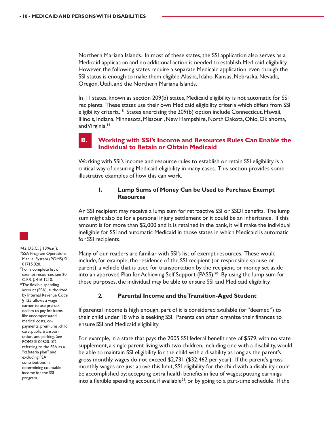Northern Mariana Islands. In most of these states, the SSI application also serves as a Medicaid application and no additional action is needed to establish Medicaid eligibility. However, the following states require a separate Medicaid application, even though the SSI status is enough to make them eligible: Alaska, Idaho, Kansas, Nebraska, Nevada, Oregon, Utah, and the Northern Mariana Islands.

In 11 states, known as section 209(b) states, Medicaid eligibility is not automatic for SSI recipients. These states use their own Medicaid eligibility criteria which differs from SSI eligibility criteria.<sup>18</sup> States exercising the 209(b) option include Connecticut, Hawaii, Illinois, Indiana, Minnesota, Missouri, New Hampshire, North Dakota, Ohio, Oklahoma, and Virginia.<sup>19</sup>



#### **B. Working with SSI's Income and Resources Rules Can Enable the Individual to Retain or Obtain Medicaid**

Working with SSI's income and resource rules to establish or retain SSI eligibility is a critical way of ensuring Medicaid eligibility in many cases. This section provides some illustrative examples of how this can work.

#### **1. Lump Sums of Money Can be Used to Purchase Exempt Resources**

An SSI recipient may receive a lump sum for retroactive SSI or SSDI benefits. The lump sum might also be for a personal injury settlement or it could be an inheritance. If this amount is for more than \$2,000 and it is retained in the bank, it will make the individual ineligible for SSI and automatic Medicaid in those states in which Medicaid is automatic for SSI recipients.

Many of our readers are familiar with SSI's list of exempt resources. These would include, for example, the residence of the SSI recipient (or responsible spouse or parent), a vehicle that is used for transportation by the recipient, or money set aside into an approved Plan for Achieving Self Support (PASS).<sup>20</sup> By using the lump sum for these purposes, the individual may be able to ensure SSI and Medicaid eligibility.

#### **2. Parental Income and the Transition-Aged Student**

If parental income is high enough, part of it is considered available (or "deemed") to their child under 18 who is seeking SSI. Parents can often organize their finances to ensure SSI and Medicaid eligibility.

For example, in a state that pays the 2005 SSI federal benefit rate of \$579, with no state supplement, a single parent living with two children, including one with a disability, would be able to maintain SSI eligibility for the child with a disability as long as the parent's gross monthly wages do not exceed \$2,731 (\$32,462 per year). If the parent's gross monthly wages are just above this limit, SSI eligibility for the child with a disability could be accomplished by: accepting extra health benefits in lieu of wages; putting earnings into a flexible spending account, if available<sup>21</sup>; or by going to a part-time schedule. If the



1842 U.S.C. § 1396a(f). 19SSA Program Operations Manual System (POMS) SI 01715.020. 20For a complete list of exempt resources, see 20 C.F.R. § 416.1210. <sup>21</sup>The flexible spending account (FSA), authorized by Internal Revenue Code § 125, allows a wage earner to use pre-tax dollars to pay for items like uncompensated medical costs, copayments, premiums, child care, public transportation, and parking. *See* POMS SI 00820.102, referring to the FSA as a "cafeteria plan" and excluding FSA contributions in determining countable income for the SSI program.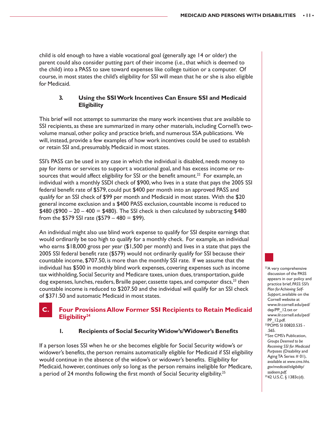child is old enough to have a viable vocational goal (generally age 14 or older) the parent could also consider putting part of their income (i.e., that which is deemed to the child) into a PASS to save toward expenses like college tuition or a computer. Of course, in most states the child's eligibility for SSI will mean that he or she is also eligible for Medicaid.

#### **3. Using the SSI Work Incentives Can Ensure SSI and Medicaid Eligibility**

This brief will not attempt to summarize the many work incentives that are available to SSI recipients, as these are summarized in many other materials, including Cornell's twovolume manual, other policy and practice briefs, and numerous SSA publications. We will, instead, provide a few examples of how work incentives could be used to establish or retain SSI and, presumably, Medicaid in most states.

SSI's PASS can be used in any case in which the individual is disabled, needs money to pay for items or services to support a vocational goal, and has excess income or resources that would affect eligibility for SSI or the benefit amount.<sup>22</sup> For example, an individual with a monthly SSDI check of \$900, who lives in a state that pays the 2005 SSI federal benefit rate of \$579, could put \$400 per month into an approved PASS and qualify for an SSI check of \$99 per month and Medicaid in most states. With the \$20 general income exclusion and a \$400 PASS exclusion, countable income is reduced to  $$480$  ( $$900 - 20 - 400 = $480$ ). The SSI check is then calculated by subtracting  $$480$ from the \$579 SSI rate  $(\$579 - 480 = \$99)$ .

An individual might also use blind work expense to qualify for SSI despite earnings that would ordinarily be too high to qualify for a monthly check. For example, an individual who earns \$18,000 gross per year (\$1,500 per month) and lives in a state that pays the 2005 SSI federal benefit rate (\$579) would not ordinarily qualify for SSI because their countable income, \$707.50, is more than the monthly SSI rate. If we assume that the individual has \$500 in monthly blind work expenses, covering expenses such as income tax withholding, Social Security and Medicare taxes, union dues, transportation, guide  $\log$  expenses, lunches, readers, Braille paper, cassette tapes, and computer discs, $^{23}$  then countable income is reduced to \$207.50 and the individual will qualify for an SSI check of \$371.50 and automatic Medicaid in most states.

### **Four Provisions Allow Former SSI Recipients to Retain Medicaid Eligibility24**

#### **1. Recipients of Social Security Widow's/Widower's Benefits**

If a person loses SSI when he or she becomes eligible for Social Security widow's or widower's benefits, the person remains automatically eligible for Medicaid if SSI eligibility would continue in the absence of the widow's or widower's benefits. Eligibility for Medicaid, however, continues only so long as the person remains ineligible for Medicare, a period of 24 months following the first month of Social Security eligibility.<sup>25</sup>

<sup>22</sup>A very comprehensive discussion of the PASS appears in our policy and practice brief, *PASS: SSI's Plan for Achieving Self-Support*, available on the Cornell website at www.ilr.cornell.edu/ped/ dep/PP\_12.txt or www.ilr.cornell.edu/ped/ PP\_12.pdf. 23POMS SI 00820.535 - .565.

<sup>24</sup>*See* CMS's Publication, *Groups Deemed to be Receiving SSI for Medicaid Purposes* (Disability and Aging TA Series # 01), available at *www.cms.hhs. gov/medicaid/eligibility/ ssideem.pdf*. 2542 U.S.C. § 1383c(d).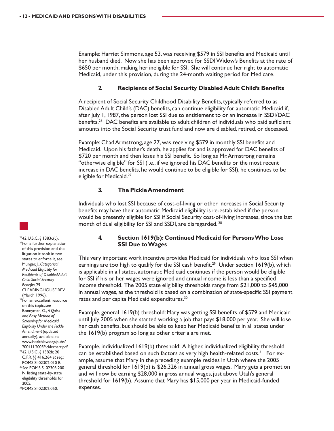Example: Harriet Simmons, age 53, was receiving \$579 in SSI benefits and Medicaid until her husband died. Now she has been approved for SSDI Widow's Benefits at the rate of \$650 per month, making her ineligible for SSI. She will continue her right to automatic Medicaid, under this provision, during the 24-month waiting period for Medicare.

#### **2. Recipients of Social Security Disabled Adult Child's Benefits**

A recipient of Social Security Childhood Disability Benefits, typically referred to as Disabled Adult Child's (DAC) benefits, can continue eligibility for automatic Medicaid if, after July 1, 1987, the person lost SSI due to entitlement to or an increase in SSDI/DAC benefits.26 DAC benefits are available to adult children of individuals who paid sufficient amounts into the Social Security trust fund and now are disabled, retired, or deceased.

Example: Chad Armstrong, age 27, was receiving \$579 in monthly SSI benefits and Medicaid. Upon his father's death, he applies for and is approved for DAC benefits of \$720 per month and then loses his SSI benefit. So long as Mr. Armstrong remains "otherwise eligible" for SSI (i.e., if we ignored his DAC benefits or the most recent increase in DAC benefits, he would continue to be eligible for SSI), he continues to be eligible for Medicaid.<sup>27</sup>

#### **3. The Pickle Amendment**

Individuals who lost SSI because of cost-of-living or other increases in Social Security benefits may have their automatic Medicaid eligibility is re-established if the person would be presently eligible for SSI if Social Security cost-of-living increases, since the last month of dual eligibility for SSI and SSDI, are disregarded. 28

#### **4. Section 1619(b): Continued Medicaid for Persons Who Lose SSI Due to Wages**

This very important work incentive provides Medicaid for individuals who lose SSI when earnings are too high to qualify for the SSI cash benefit.<sup>29</sup> Under section 1619(b), which is applicable in all states, automatic Medicaid continues if the person would be eligible for SSI if his or her wages were ignored and annual income is less than a specified income threshold. The 2005 state eligibility thresholds range from \$21,000 to \$45,000 in annual wages, as the threshold is based on a combination of state-specific SSI payment rates and per capita Medicaid expenditures.<sup>30</sup>

Example, general 1619(b) threshold: Mary was getting SSI benefits of \$579 and Medicaid until July 2005 when she started working a job that pays \$18,000 per year. She will lose her cash benefits, but should be able to keep her Medicaid benefits in all states under the 1619(b) program so long as other criteria are met.

Example, individualized 1619(b) threshold: A higher, individualized eligibility threshold can be established based on such factors as very high health-related costs.<sup>31</sup> For example, assume that Mary in the preceding example resides in Utah where the 2005 general threshold for 1619(b) is \$26,326 in annual gross wages. Mary gets a promotion and will now be earning \$28,000 in gross annual wages, just above Utah's general threshold for 1619(b). Assume that Mary has \$15,000 per year in Medicaid-funded expenses.

<sup>27</sup>For a further explanation of this provision and the litigation it took in two states to enforce it, see Munger, J., *Categorical Medicaid Eligibility for Recipients of Disabled Adult Child Social Security Benefits*, 29 CLEARINGHOUSE REV. (March 1996). <sup>28</sup>For an excellent resource on this topic, *see* Bonnyman, G., *A Quick and Easy Method of Screening for Medicaid Eligibility Under the Pickle Amendment* (updated annually), available at: www.healthlaw.org/pubs/ 200411.2005Picklechart.pdf. 2942 U.S.C. § 1382h; 20 C.F.R. §§ 416.264 *et seq.*; POMS SI 02302.010 B. <sup>30</sup>*Se*e POMS SI 02303.200 N, listing state-by-state eligibility thresholds for 2005.

2642 U.S.C. § 1383c(c).

31POMS SI 02302.050.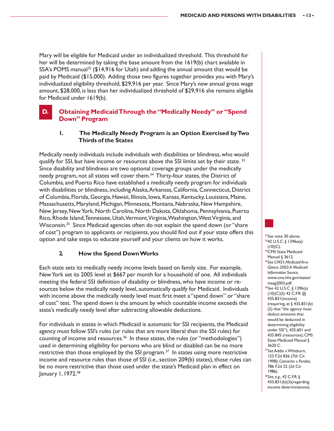Mary will be eligible for Medicaid under an individualized threshold. This threshold for her will be determined by taking the base amount from the 1619(b) chart available in SSA's POMS manual<sup>32</sup> (\$14,916 for Utah) and adding the annual amount that would be paid by Medicaid (\$15,000). Adding those two figures together provides you with Mary's individualized eligibility threshold, \$29,916 per year. Since Mary's new annual gross wage amount, \$28,000, is less than her individualized threshold of \$29,916 she remains eligible for Medicaid under 1619(b).

### **D. Obtaining Medicaid Through the "Medically Needy" or "Spend Down" Program**

#### **1. The Medically Needy Program is an Option Exercised by Two Thirds of the States**

Medically needy individuals include individuals with disabilities or blindness, who would qualify for SSI, but have income or resources above the SSI limits set by their state.<sup>33</sup> Since disability and blindness are two optional coverage groups under the medically needy program, not all states will cover them.<sup>34</sup> Thirty-four states, the District of Columbia, and Puerto Rico have established a medically needy program for individuals with disabilities or blindness, including Alaska, Arkansas, California, Connecticut, District of Columbia, Florida, Georgia, Hawaii, Illinois, Iowa, Kansas, Kentucky, Louisiana, Maine, Massachusetts, Maryland, Michigan, Minnesota, Montana, Nebraska, New Hampshire, New Jersey, New York, North Carolina, North Dakota, Oklahoma, Pennsylvania, Puerto Rico, Rhode Island, Tennessee, Utah, Vermont, Virginia, Washington, West Virginia, and Wisconsin.<sup>35</sup> Since Medicaid agencies often do not explain the spend down (or "share of cost") program to applicants or recipients, you should find out if your state offers this option and take steps to educate yourself and your clients on how it works.

#### **2. How the Spend Down Works**

Each state sets its medically needy income levels based on family size. For example, New York set its 2005 level at \$667 per month for a household of one. All individuals meeting the federal SSI definition of disability or blindness, who have income or resources below the medically needy level, automatically qualify for Medicaid. Individuals with income above the medically needy level must first meet a "spend down" or "share of cost" test. The spend down is the amount by which countable income exceeds the state's medically needy level after subtracting allowable deductions.

For individuals in states in which Medicaid is automatic for SSI recipients, the Medicaid agency must follow SSI's rules (or rules that are more liberal than the SSI rules) for counting of income and resources.<sup>36</sup> In these states, the rules (or "methodologies") used in determining eligibility for persons who are blind or disabled can be no more restrictive than those employed by the SSI program.<sup>37</sup> In states using more restrictive income and resource rules than those of SSI (i.e., section 209(b) states), those rules can be no more restrictive than those used under the state's Medicaid plan in effect on January 1, 1972.38



<sup>32</sup>See note 30 above.<br><sup>33</sup>42 U.S.C. § 1396a(a)  $(10)(C)$ .

- <sup>34</sup>CMS State Medicaid Manual § 3612.
- 35*See CMS's Medicaid At-a-Glance 2003: A Medicaid Information Source,* www.cms.hhs.gov/states/ maag2003.pdf.
- <sup>36</sup>*See* 42 U.S.C. § 1396(a)  $(10)(C)(I); 42 C.F.R.$ §§ 435.831(income) (requiring, at § 435.831(b) (2) that "the agency must deduct amounts that would be deducted in determining eligibility under SSI"), 435.601 and 435.845 (resources); CMS State Medicaid Manual § 3620 C.
- <sup>37</sup>*See* Addis v. Whitburn, 153 F.2d 836 (7th Cir. 1998); *Camacho v. Perales*, 786 F.2d 32 (2d Cir. 1986).

<sup>38</sup>*See, e.g.,* 42 C.F.R. § 435.831(b)(3)(regarding income determinations).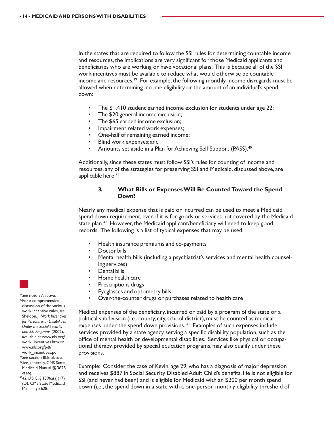In the states that are required to follow the SSI rules for determining countable income and resources, the implications are very significant for those Medicaid applicants and beneficiaries who are working or have vocational plans. This is because all of the SSI work incentives must be available to reduce what would otherwise be countable income and resources.<sup>39</sup> For example, the following monthly income disregards must be allowed when determining income eligibility or the amount of an individual's spend down:

- The \$1,410 student earned income exclusion for students under age 22;
- The \$20 general income exclusion;
- The \$65 earned income exclusion;
- Impairment related work expenses;
- One-half of remaining earned income;
- Blind work expenses; and
- Amounts set aside in a Plan for Achieving Self Support (PASS).<sup>40</sup>

Additionally, since these states must follow SSI's rules for counting of income and resources, any of the strategies for preserving SSI and Medicaid, discussed above, are applicable here.<sup>41</sup>

#### **3. What Bills or Expenses Will Be Counted Toward the Spend Down?**

Nearly any medical expense that is paid or incurred can be used to meet a Medicaid spend down requirement, even if it is for goods or services not covered by the Medicaid state plan.<sup>42</sup> However, the Medicaid applicant/beneficiary will need to keep good records. The following is a list of typical expenses that may be used:

- Health insurance premiums and co-payments
- Doctor bills
- Mental health bills (including a psychiatrist's services and mental health counseling services)
- Dental bills
- Home health care
- Prescriptions drugs
- Eyeglasses and optometry bills
- Over-the-counter drugs or purchases related to health care

Medical expenses of the beneficiary, incurred or paid by a program of the state or a political subdivision (i.e., county, city, school district), must be counted as medical expenses under the spend down provisions.<sup>43</sup> Examples of such expenses include services provided by a state agency serving a specific disability population, such as the office of mental health or developmental disabilities. Services like physical or occupational therapy, provided by special education programs, may also qualify under these provisions.

Example: Consider the case of Kevin, age 29, who has a diagnosis of major depression and receives \$887 in Social Security Disabled Adult Child's benefits. He is not eligible for SSI (and never had been) and is eligible for Medicaid with an \$200 per month spend down (i.e., the spend down in a state with a one-person monthly eligibility threshold of



discussion of the various work incentive rules, *see* Sheldon, J., *Work Incentives for Persons with Disabilities Under the Social Security and SSI Programs* (2002), available at www.nls.org/ work\_incentives.htm or www.nls.org/pdf/

work\_incentives.pdf.

<sup>41</sup>*See* section III.B, above. 42*See,* generally, CMS State Medicaid Manual §§ 3628 *et seq.*

4342 U.S.C. § 1396a(a)(17) (D); CMS State Medicaid Manual § 3628.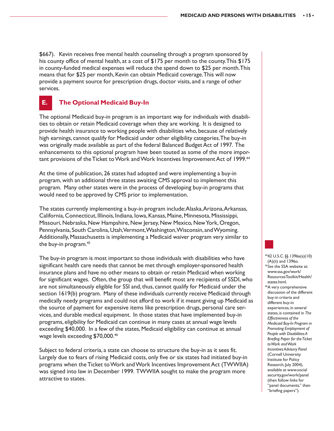\$667). Kevin receives free mental health counseling through a program sponsored by his county office of mental health, at a cost of \$175 per month to the county. This \$175 in county-funded medical expenses will reduce the spend down to \$25 per month. This means that for \$25 per month, Kevin can obtain Medicaid coverage. This will now provide a payment source for prescription drugs, doctor visits, and a range of other services.

# **E. The Optional Medicaid Buy-In**

The optional Medicaid buy-in program is an important way for individuals with disabilities to obtain or retain Medicaid coverage when they are working. It is designed to provide health insurance to working people with disabilities who, because of relatively high earnings, cannot qualify for Medicaid under other eligibility categories. The buy-in was originally made available as part of the federal Balanced Budget Act of 1997. The enhancements to this optional program have been touted as some of the more important provisions of the Ticket to Work and Work Incentives Improvement Act of 1999.<sup>44</sup>

At the time of publication, 26 states had adopted and were implementing a buy-in program, with an additional three states awaiting CMS approval to implement this program. Many other states were in the process of developing buy-in programs that would need to be approved by CMS prior to implementation.

The states currently implementing a buy-in program include: Alaska, Arizona, Arkansas, California, Connecticut, Illinois, Indiana, Iowa, Kansas, Maine, Minnesota, Mississippi, Missouri, Nebraska, New Hampshire, New Jersey, New Mexico, New York, Oregon, Pennsylvania, South Carolina, Utah, Vermont, Washington, Wisconsin, and Wyoming. Additionally, Massachusetts is implementing a Medicaid waiver program very similar to the buy-in program.45

The buy-in program is most important to those individuals with disabilities who have significant health care needs that cannot be met through employer-sponsored health insurance plans and have no other means to obtain or retain Medicaid when working for significant wages. Often, the group that will benefit most are recipients of SSDI, who are not simultaneously eligible for SSI and, thus, cannot qualify for Medicaid under the section 1619(b) program. Many of these individuals currently receive Medicaid through medically needy programs and could not afford to work if it meant giving up Medicaid as the source of payment for expensive items like prescription drugs, personal care services, and durable medical equipment. In those states that have implemented buy-in programs, eligibility for Medicaid can continue in many cases at annual wage levels exceeding \$40,000. In a few of the states, Medicaid eligibility can continue at annual wage levels exceeding \$70,000.46

Subject to federal criteria, a state can choose to structure the buy-in as it sees fit. Largely due to fears of rising Medicaid costs, only five or six states had initiated buy-in programs when the Ticket to Work and Work Incentives Improvement Act (TWWIIA) was signed into law in December 1999. TWWIIA sought to make the program more attractive to states.

4442 U.S.C. §§ 1396a(a)(10) (A)(ii) and 1396o. <sup>45</sup>*See* the SSA website at: www.ssa.gov/work/ ResourcesToolkit/Health/ states.html. <sup>46</sup>A very comprehensive discussion of the different buy-in criteria and different buy-in experiences, in several states, is contained in *The Effectiveness of the Medicaid Buy-In Program in Promoting Employment of People with Disabilities: A Briefing Paper for the Ticket to Work and Work Incentives Advisory Panel* (Cornell University Institute for Policy Research, July 2004), available at www.social security.gov/work/panel (then follow links for "panel documents," then "briefing papers").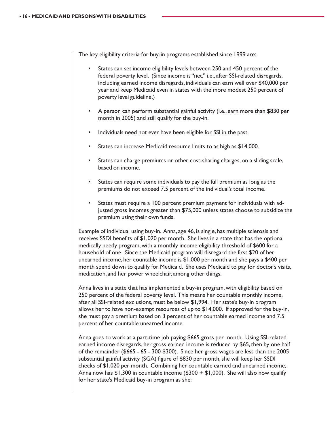The key eligibility criteria for buy-in programs established since 1999 are:

- States can set income eligibility levels between 250 and 450 percent of the federal poverty level. (Since income is "net," i.e., after SSI-related disregards, including earned income disregards, individuals can earn well over \$40,000 per year and keep Medicaid even in states with the more modest 250 percent of poverty level guideline.)
- A person can perform substantial gainful activity (i.e., earn more than \$830 per month in 2005) and still qualify for the buy-in.
- Individuals need not ever have been eligible for SSI in the past.
- States can increase Medicaid resource limits to as high as \$14,000.
- States can charge premiums or other cost-sharing charges, on a sliding scale, based on income.
- States can require some individuals to pay the full premium as long as the premiums do not exceed 7.5 percent of the individual's total income.
- States must require a 100 percent premium payment for individuals with adjusted gross incomes greater than \$75,000 unless states choose to subsidize the premium using their own funds.

Example of individual using buy-in. Anna, age 46, is single, has multiple sclerosis and receives SSDI benefits of \$1,020 per month. She lives in a state that has the optional medically needy program, with a monthly income eligibility threshold of \$600 for a household of one. Since the Medicaid program will disregard the first \$20 of her unearned income, her countable income is \$1,000 per month and she pays a \$400 per month spend down to qualify for Medicaid. She uses Medicaid to pay for doctor's visits, medication, and her power wheelchair, among other things.

Anna lives in a state that has implemented a buy-in program, with eligibility based on 250 percent of the federal poverty level. This means her countable monthly income, after all SSI-related exclusions, must be below \$1,994. Her state's buy-in program allows her to have non-exempt resources of up to \$14,000. If approved for the buy-in, she must pay a premium based on 3 percent of her countable earned income and 7.5 percent of her countable unearned income.

Anna goes to work at a part-time job paying \$665 gross per month. Using SSI-related earned income disregards, her gross earned income is reduced by \$65, then by one half of the remainder (\$665 - 65 - 300 \$300). Since her gross wages are less than the 2005 substantial gainful activity (SGA) figure of \$830 per month, she will keep her SSDI checks of \$1,020 per month. Combining her countable earned and unearned income, Anna now has  $$1,300$  in countable income (\$300 +  $$1,000$ ). She will also now qualify for her state's Medicaid buy-in program as she: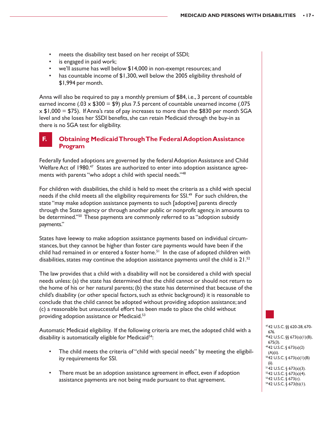- meets the disability test based on her receipt of SSDI;
- is engaged in paid work;
- we'll assume has well below \$14,000 in non-exempt resources; and
- has countable income of \$1,300, well below the 2005 eligibility threshold of \$1,994 per month.

Anna will also be required to pay a monthly premium of \$84, i.e., 3 percent of countable earned income (.03  $\times$  \$300 = \$9) plus 7.5 percent of countable unearned income (.075  $\times$  \$1,000 = \$75). If Anna's rate of pay increases to more than the \$830 per month SGA level and she loses her SSDI benefits, she can retain Medicaid through the buy-in as there is no SGA test for eligibility.

### **F. Obtaining Medicaid Through The Federal Adoption Assistance Program**

Federally funded adoptions are governed by the federal Adoption Assistance and Child Welfare Act of 1980.<sup>47</sup> States are authorized to enter into adoption assistance agreements with parents "who adopt a child with special needs."<sup>48</sup>

For children with disabilities, the child is held to meet the criteria as a child with special needs if the child meets all the eligibility requirements for SSI.<sup>49</sup> For such children, the state "may make adoption assistance payments to such [adoptive] parents directly through the State agency or through another public or nonprofit agency, in amounts to be determined."<sup>50</sup> These payments are commonly referred to as "adoption subsidy payments."

States have leeway to make adoption assistance payments based on individual circumstances, but they cannot be higher than foster care payments would have been if the child had remained in or entered a foster home.<sup>51</sup> In the case of adopted children with disabilities, states may continue the adoption assistance payments until the child is  $21^{52}$ .

The law provides that a child with a disability will not be considered a child with special needs unless: (a) the state has determined that the child cannot or should not return to the home of his or her natural parents; (b) the state has determined that because of the child's disability (or other special factors, such as ethnic background) it is reasonable to conclude that the child cannot be adopted without providing adoption assistance; and (c) a reasonable but unsuccessful effort has been made to place the child without providing adoption assistance or Medicaid.53

Automatic Medicaid eligibility. If the following criteria are met, the adopted child with a disability is automatically eligible for Medicaid<sup>54</sup>:

- The child meets the criteria of "child with special needs" by meeting the eligibility requirements for SSI.
- There must be an adoption assistance agreement in effect, even if adoption assistance payments are not being made pursuant to that agreement.

4742 U.S.C. §§ 620-28, 670- 676. 4842 U.S.C. §§ 673(a)(1)(B), 675(3). 4942 U.S.C. § 673(a)(2) (A)(ii). 5042 U.S.C. § 673(a)(1)(B) (ii).  $5142$  U.S.C. § 673(a)(3). 5242 U.S.C. § 673(a)(4). 5342 U.S.C. § 673(c).  $5442$  U.S.C. § 673(b)(1).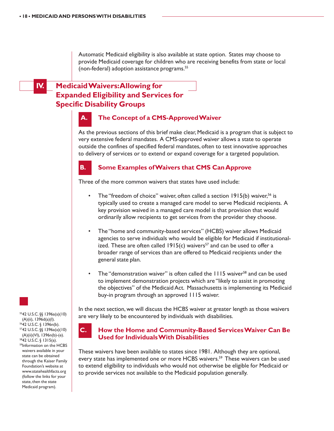Automatic Medicaid eligibility is also available at state option. States may choose to provide Medicaid coverage for children who are receiving benefits from state or local (non-federal) adoption assistance programs.55

# **IV. Medicaid Waivers: Allowing for Expanded Eligibility and Services for Specific Disability Groups**

### **A. The Concept of a CMS-Approved Waiver**

As the previous sections of this brief make clear, Medicaid is a program that is subject to very extensive federal mandates. A CMS-approved waiver allows a state to operate outside the confines of specified federal mandates, often to test innovative approaches to delivery of services or to extend or expand coverage for a targeted population.



### **B. Some Examples of Waivers that CMS Can Approve**

Three of the more common waivers that states have used include:

- The "freedom of choice" waiver, often called a section  $1915(b)$  waiver,<sup>56</sup> is typically used to create a managed care model to serve Medicaid recipients. A key provision waived in a managed care model is that provision that would ordinarily allow recipients to get services from the provider they choose.
- The "home and community-based services" (HCBS) waiver allows Medicaid agencies to serve individuals who would be eligible for Medicaid if institutionalized. These are often called  $1915(c)$  waivers<sup>57</sup> and can be used to offer a broader range of services than are offered to Medicaid recipients under the general state plan.
- The "demonstration waiver" is often called the 1115 waiver<sup>58</sup> and can be used to implement demonstration projects which are "likely to assist in promoting the objectives" of the Medicaid Act. Massachusetts is implementing its Medicaid buy-in program through an approved 1115 waiver.

In the next section, we will discuss the HCBS waiver at greater length as those waivers are very likely to be encountered by individuals with disabilities.

#### **C. How the Home and Community-Based Services Waiver Can Be Used for Individuals With Disabilities**

These waivers have been available to states since 1981. Although they are optional, every state has implemented one or more HCBS waivers.<sup>59</sup> These waivers can be used to extend eligibility to individuals who would not otherwise be eligible for Medicaid or to provide services not available to the Medicaid population generally.



5542 U.S.C. §§ 1396a(a)(10) (A)(ii), 1396d(a)(I). 5642 U.S.C. § 1396n(b). 5742 U.S.C. §§ 1396a(a)(10) (A)(ii)(VI), 1396n(b)-(e). 5842 U.S.C. § 1315(a). 59Information on the HCBS waivers available in your state can be obtained through the Kaiser Family Foundation's website at www.statehealthfacts.org (follow the links for your state, then the state Medicaid program).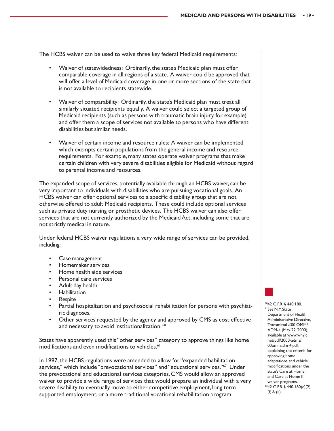The HCBS waiver can be used to waive three key federal Medicaid requirements:

- Waiver of statewidedness: Ordinarily, the state's Medicaid plan must offer comparable coverage in all regions of a state. A waiver could be approved that will offer a level of Medicaid coverage in one or more sections of the state that is not available to recipients statewide.
- Waiver of comparability: Ordinarily, the state's Medicaid plan must treat all similarly situated recipients equally. A waiver could select a targeted group of Medicaid recipients (such as persons with traumatic brain injury, for example) and offer them a scope of services not available to persons who have different disabilities but similar needs.
- Waiver of certain income and resource rules: A waiver can be implemented which exempts certain populations from the general income and resource requirements. For example, many states operate waiver programs that make certain children with very severe disabilities eligible for Medicaid without regard to parental income and resources.

The expanded scope of services, potentially available through an HCBS waiver, can be very important to individuals with disabilities who are pursuing vocational goals. An HCBS waiver can offer optional services to a specific disability group that are not otherwise offered to adult Medicaid recipients. These could include optional services such as private duty nursing or prosthetic devices. The HCBS waiver can also offer services that are not currently authorized by the Medicaid Act, including some that are not strictly medical in nature.

Under federal HCBS waiver regulations a very wide range of services can be provided, including:

- Case management
- Homemaker services
- Home health aide services
- Personal care services
- Adult day health
- **Habilitation**
- **Respite**
- Partial hospitalization and psychosocial rehabilitation for persons with psychiatric diagnoses.
- Other services requested by the agency and approved by CMS as cost effective and necessary to avoid institutionalization.<sup>60</sup>

States have apparently used this "other services" category to approve things like home modifications and even modifications to vehicles.<sup>61</sup>

In 1997, the HCBS regulations were amended to allow for "expanded habilitation services," which include "prevocational services" and "educational services."<sup>62</sup> Under the prevocational and educational services categories, CMS would allow an approved waiver to provide a wide range of services that would prepare an individual with a very severe disability to eventually move to either competitive employment, long term supported employment, or a more traditional vocational rehabilitation program.

6042 C.F.R. § 440.180. <sup>61</sup>*See* N.Y. State Department of Health, Administrative Directive, Transmittal #00 OMM/ ADM-4 (May 22, 2000), available at www.wnylc. net/pdf/2000-adms/ 00ommadm-4.pdf, explaining the criteria for approving home adaptations and vehicle modifications under the state's Care at Home I and Care at Home II waiver programs. 6242 C.F.R. § 440.180(c)(2) (I) & (ii).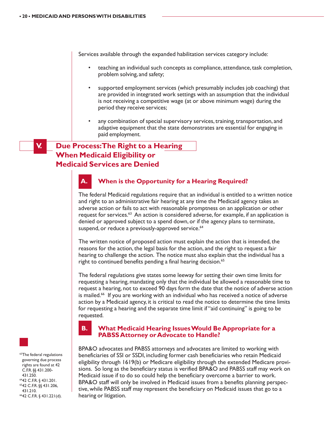Services available through the expanded habilitation services category include:

- teaching an individual such concepts as compliance, attendance, task completion, problem solving, and safety;
- supported employment services (which presumably includes job coaching) that are provided in integrated work settings with an assumption that the individual is not receiving a competitive wage (at or above minimum wage) during the period they receive services;
- any combination of special supervisory services, training, transportation, and adaptive equipment that the state demonstrates are essential for engaging in paid employment.

# **V. Due Process: The Right to a Hearing When Medicaid Eligibility or Medicaid Services are Denied**

# **A. When is the Opportunity for a Hearing Required?**

The federal Medicaid regulations require that an individual is entitled to a written notice and right to an administrative fair hearing at any time the Medicaid agency takes an adverse action or fails to act with reasonable promptness on an application or other request for services. $63$  An action is considered adverse, for example, if an application is denied or approved subject to a spend down, or if the agency plans to terminate, suspend, or reduce a previously-approved service.<sup>64</sup>

The written notice of proposed action must explain the action that is intended, the reasons for the action, the legal basis for the action, and the right to request a fair hearing to challenge the action. The notice must also explain that the individual has a right to continued benefits pending a final hearing decision.<sup>65</sup>

The federal regulations give states some leeway for setting their own time limits for requesting a hearing, mandating only that the individual be allowed a reasonable time to request a hearing, not to exceed 90 days form the date that the notice of adverse action is mailed.<sup>66</sup> If you are working with an individual who has received a notice of adverse action by a Medicaid agency, it is critical to read the notice to determine the time limits for requesting a hearing and the separate time limit if "aid continuing" is going to be requested.



#### **B. What Medicaid Hearing Issues Would Be Appropriate for a PABSS Attorney or Advocate to Handle?**

BPA&O advocates and PABSS attorneys and advocates are limited to working with beneficiaries of SSI or SSDI, including former cash beneficiaries who retain Medicaid eligibility through 1619(b) or Medicare eligibility through the extended Medicare provisions. So long as the beneficiary status is verified BPA&O and PABSS staff may work on Medicaid issue if to do so could help the beneficiary overcome a barrier to work. BPA&O staff will only be involved in Medicaid issues from a benefits planning perspective, while PABSS staff may represent the beneficiary on Medicaid issues that go to a hearing or litigation.



6442 C.F.R. § 431.201. 6542 C.F.R. §§ 431.206, 431.210. 6642 C.F.R. § 431.221(d).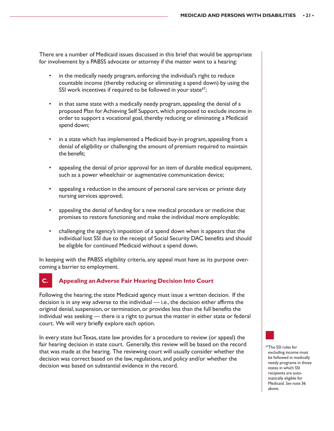There are a number of Medicaid issues discussed in this brief that would be appropriate for involvement by a PABSS advocate or attorney if the matter went to a hearing:

- in the medically needy program, enforcing the individual's right to reduce countable income (thereby reducing or eliminating a spend down) by using the SSI work incentives if required to be followed in your state $67$ ;
- in that same state with a medically needy program, appealing the denial of a proposed Plan for Achieving Self Support, which proposed to exclude income in order to support a vocational goal, thereby reducing or eliminating a Medicaid spend down;
- in a state which has implemented a Medicaid buy-in program, appealing from a denial of eligibility or challenging the amount of premium required to maintain the benefit;
- appealing the denial of prior approval for an item of durable medical equipment, such as a power wheelchair or augmentative communication device;
- appealing a reduction in the amount of personal care services or private duty nursing services approved;
- appealing the denial of funding for a new medical procedure or medicine that promises to restore functioning and make the individual more employable;
- challenging the agency's imposition of a spend down when it appears that the individual lost SSI due to the receipt of Social Security DAC benefits and should be eligible for continued Medicaid without a spend down.

In keeping with the PABSS eligibility criteria, any appeal must have as its purpose overcoming a barrier to employment.

### **C. Appealing an Adverse Fair Hearing Decision Into Court**

Following the hearing, the state Medicaid agency must issue a written decision. If the decision is in any way adverse to the individual — i.e., the decision either affirms the original denial, suspension, or termination, or provides less than the full benefits the individual was seeking — there is a right to pursue the matter in either state or federal court. We will very briefly explore each option.

In every state but Texas, state law provides for a procedure to review (or appeal) the fair hearing decision in state court. Generally, this review will be based on the record that was made at the hearing. The reviewing court will usually consider whether the decision was correct based on the law, regulations, and policy and/or whether the decision was based on substantial evidence in the record.

67The SSI rules for excluding income must be followed in medically needy programs in those states in which SSI recipients are automatically eligible for Medicaid. *See* note 36 above.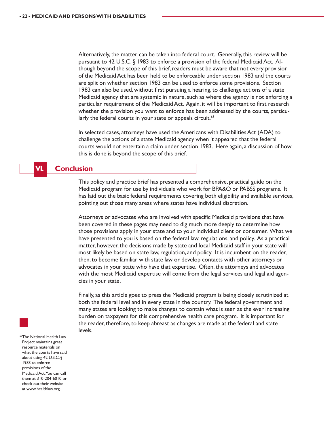Alternatively, the matter can be taken into federal court. Generally, this review will be pursuant to 42 U.S.C. § 1983 to enforce a provision of the federal Medicaid Act. Although beyond the scope of this brief, readers must be aware that not every provision of the Medicaid Act has been held to be enforceable under section 1983 and the courts are split on whether section 1983 can be used to enforce some provisions. Section 1983 can also be used, without first pursuing a hearing, to challenge actions of a state Medicaid agency that are systemic in nature, such as where the agency is not enforcing a particular requirement of the Medicaid Act. Again, it will be important to first research whether the provision you want to enforce has been addressed by the courts, particularly the federal courts in your state or appeals circuit.<sup>68</sup>

In selected cases, attorneys have used the Americans with Disabilities Act (ADA) to challenge the actions of a state Medicaid agency when it appeared that the federal courts would not entertain a claim under section 1983. Here again, a discussion of how this is done is beyond the scope of this brief.

#### **VI. Conclusion**

This policy and practice brief has presented a comprehensive, practical guide on the Medicaid program for use by individuals who work for BPA&O or PABSS programs. It has laid out the basic federal requirements covering both eligibility and available services, pointing out those many areas where states have individual discretion.

Attorneys or advocates who are involved with specific Medicaid provisions that have been covered in these pages may need to dig much more deeply to determine how those provisions apply in your state and to your individual client or consumer. What we have presented to you is based on the federal law, regulations, and policy. As a practical matter, however, the decisions made by state and local Medicaid staff in your state will most likely be based on state law, regulation, and policy. It is incumbent on the reader, then, to become familiar with state law or develop contacts with other attorneys or advocates in your state who have that expertise. Often, the attorneys and advocates with the most Medicaid expertise will come from the legal services and legal aid agencies in your state.

Finally, as this article goes to press the Medicaid program is being closely scrutinized at both the federal level and in every state in the country. The federal government and many states are looking to make changes to contain what is seen as the ever increasing burden on taxpayers for this comprehensive health care program. It is important for the reader, therefore, to keep abreast as changes are made at the federal and state levels.

<sup>68</sup>The National Health Law Project maintains great resource materials on what the courts have said about using 42 U.S.C. § 1983 to enforce provisions of the Medicaid Act. You can call them at 310-204-6010 or check out their website at www.healthlaw.org.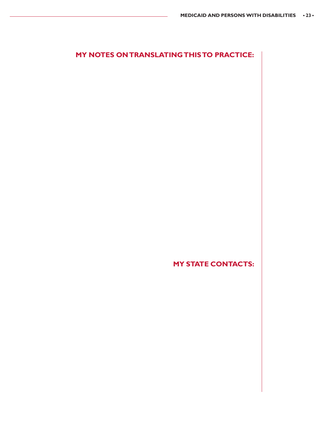# **MY NOTES ON TRANSLATING THIS TO PRACTICE:**

**MY STATE CONTACTS:**